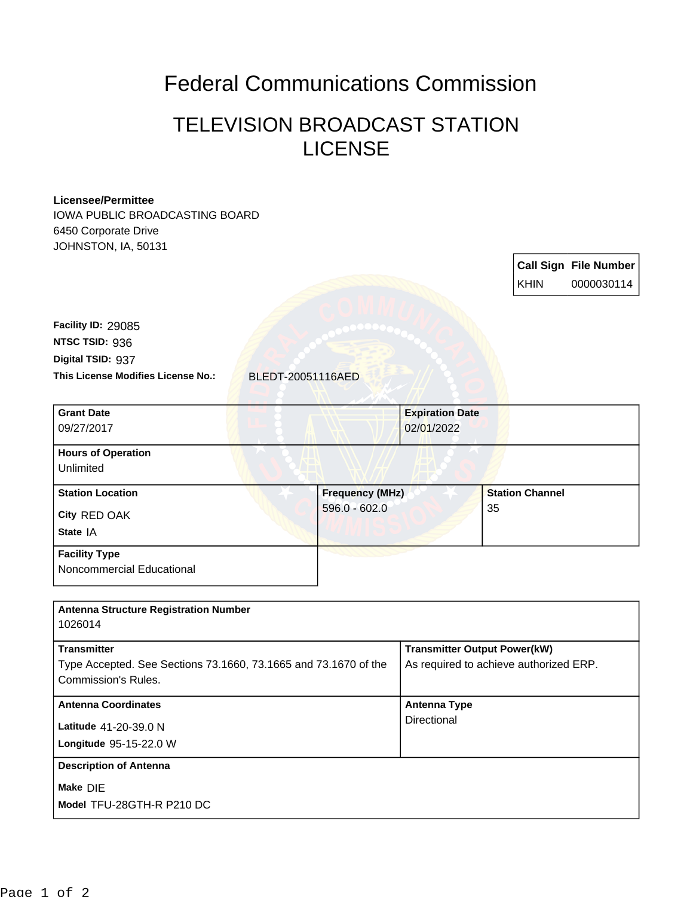## Federal Communications Commission

## TELEVISION BROADCAST STATION **LICENSE**

## **Licensee/Permittee**

IOWA PUBLIC BROADCASTING BOARD 6450 Corporate Drive JOHNSTON, IA, 50131

> **Call Sign File Number** KHIN 0000030114

**This License Modifies License No.:** BLEDT-20051116AED **Digital TSID:** 937 **NTSC TSID:** 936 **Facility ID:** 29085

| <b>Grant Date</b><br>09/27/2017        |                        | <b>Expiration Date</b><br>02/01/2022 |  |
|----------------------------------------|------------------------|--------------------------------------|--|
| <b>Hours of Operation</b><br>Unlimited |                        |                                      |  |
| <b>Station Location</b>                | <b>Frequency (MHz)</b> | <b>Station Channel</b>               |  |
| City RED OAK<br>State IA               | $596.0 - 602.0$        | 35                                   |  |
| <b>Facility Type</b>                   |                        |                                      |  |

Noncommercial Educational

| <b>Antenna Structure Registration Number</b><br>1026014                                                             |                                                                               |
|---------------------------------------------------------------------------------------------------------------------|-------------------------------------------------------------------------------|
| <b>Transmitter</b><br>Type Accepted. See Sections 73.1660, 73.1665 and 73.1670 of the<br><b>Commission's Rules.</b> | <b>Transmitter Output Power(kW)</b><br>As required to achieve authorized ERP. |
| <b>Antenna Coordinates</b><br><b>Latitude</b> $41-20-39.0 N$<br>Longitude 95-15-22.0 W                              | <b>Antenna Type</b><br>Directional                                            |
| <b>Description of Antenna</b><br>Make DIE<br>Model TFU-28GTH-R P210 DC                                              |                                                                               |